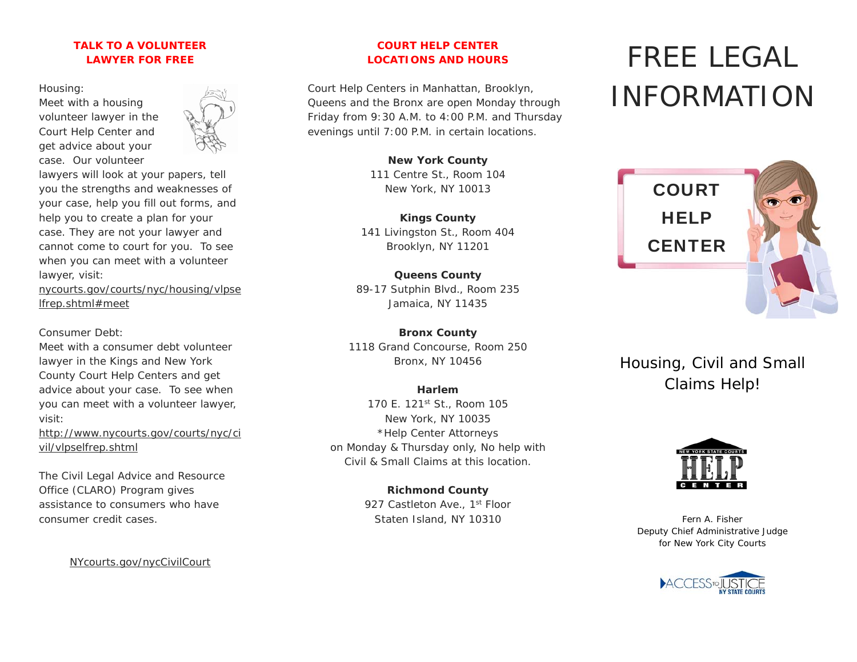## **TALK TO A VOLUNTEER LAWYER FOR FREE**

Housing:

Meet with a housing volunteer lawyer in the Court Help Center and get advice about your case. Our volunteer



lawyers will look at your papers, tell you the strengths and weaknesses of your case, help you fill out forms, and help you to create a plan for your case. They are not your lawyer and cannot come to court for you. To see when you can meet with a volunteer lawyer, visit:

nycourts.gov/courts/nyc/housing/vlpse lfrep.shtml#meet

Consumer Debt:

Meet with a consumer debt volunteer lawyer in the Kings and New York County Court Help Centers and get advice about your case. To see when you can meet with a volunteer lawyer, visit:

http://www.nycourts.gov/courts/nyc/ci vil/vlpselfrep.shtml

The Civil Legal Advice and Resource Office (CLARO) Program gives assistance to consumers who have consumer credit cases.

NYcourts.gov/nycCivilCourt

## **COURT HELP CENTER LOCATIONS AND HOURS**

Court Help Centers in Manhattan, Brooklyn, Queens and the Bronx are open Monday through Friday from 9:30 A.M. to 4:00 P.M. and Thursday evenings until 7:00 P.M. in certain locations.

> **New York County**  111 Centre St., Room 104 New York, NY 10013

**Kings County**  141 Livingston St., Room 404 Brooklyn, NY 11201

**Queens County**  89-17 Sutphin Blvd., Room 235 Jamaica, NY 11435

**Bronx County**  1118 Grand Concourse, Room 250 Bronx, NY 10456

# **Harlem**

170 E. 121st St., Room 105 New York, NY 10035 \*Help Center Attorneys on Monday & Thursday only, No help with Civil & Small Claims at this location.

> **Richmond County**  927 Castleton Ave., 1<sup>st</sup> Floor Staten Island, NY 10310

# FREE LEGAL INFORMATION



Housing, Civil and Small Claims Help!



Fern A. Fisher Deputy Chief Administrative Judge for New York City Courts